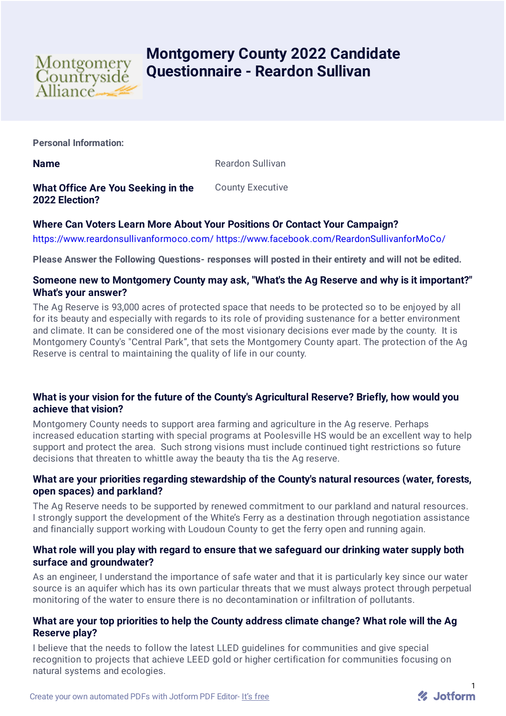

# **Montgomery County 2022 Candidate Questionnaire - Reardon Sullivan**

**Personal Information:**

**Name** Reardon Sullivan

**What Office Are You Seeking in the 2022 Election?** County Executive

## **Where Can Voters Learn More About Your Positions Or Contact Your Campaign?**

<https://www.reardonsullivanformoco.com/> <https://www.facebook.com/ReardonSullivanforMoCo/>

**Please Answer the Following Questions- responses will posted in their entirety and will not be edited.**

## **Someone new to Montgomery County may ask, "What's the Ag Reserve and why is it important?" What's your answer?**

The Ag Reserve is 93,000 acres of protected space that needs to be protected so to be enjoyed by all for its beauty and especially with regards to its role of providing sustenance for a better environment and climate. It can be considered one of the most visionary decisions ever made by the county. It is Montgomery County's "Central Park", that sets the Montgomery County apart. The protection of the Ag Reserve is central to maintaining the quality of life in our county.

## **What is your vision for the future of the County's Agricultural Reserve? Briefly, how would you achieve that vision?**

Montgomery County needs to support area farming and agriculture in the Ag reserve. Perhaps increased education starting with special programs at Poolesville HS would be an excellent way to help support and protect the area. Such strong visions must include continued tight restrictions so future decisions that threaten to whittle away the beauty tha tis the Ag reserve.

## **What are your priorities regarding stewardship of the County's natural resources (water, forests, open spaces) and parkland?**

The Ag Reserve needs to be supported by renewed commitment to our parkland and natural resources. I strongly support the development of the White's Ferry as a destination through negotiation assistance and financially support working with Loudoun County to get the ferry open and running again.

## **What role will you play with regard to ensure that we safeguard our drinking water supply both surface and groundwater?**

As an engineer, I understand the importance of safe water and that it is particularly key since our water source is an aquifer which has its own particular threats that we must always protect through perpetual monitoring of the water to ensure there is no decontamination or infiltration of pollutants.

## **What are your top priorities to help the County address climate change? What role will the Ag Reserve play?**

I believe that the needs to follow the latest LLED guidelines for communities and give special recognition to projects that achieve LEED gold or higher certification for communities focusing on natural systems and ecologies.